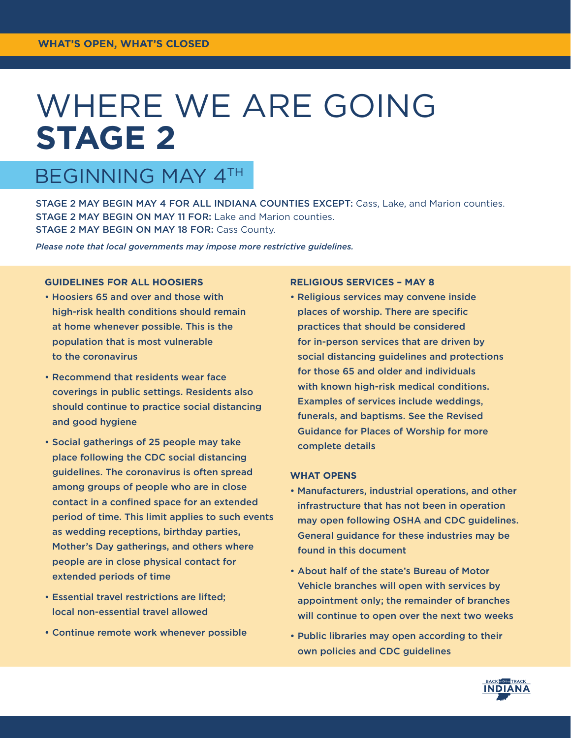# WHERE WE ARE GOING **STAGE 2**

# BEGINNING MAY 4TH

STAGE 2 MAY BEGIN MAY 4 FOR ALL INDIANA COUNTIES EXCEPT: Cass, Lake, and Marion counties. STAGE 2 MAY BEGIN ON MAY 11 FOR: Lake and Marion counties. STAGE 2 MAY BEGIN ON MAY 18 FOR: Cass County.

*Please note that local governments may impose more restrictive guidelines.*

### **GUIDELINES FOR ALL HOOSIERS**

- Hoosiers 65 and over and those with high-risk health conditions should remain at home whenever possible. This is the population that is most vulnerable to the coronavirus
- Recommend that residents wear face coverings in public settings. Residents also should continue to practice social distancing and good hygiene
- Social gatherings of 25 people may take place following the CDC social distancing guidelines. The coronavirus is often spread among groups of people who are in close contact in a confined space for an extended period of time. This limit applies to such events as wedding receptions, birthday parties, Mother's Day gatherings, and others where people are in close physical contact for extended periods of time
- Essential travel restrictions are lifted; local non-essential travel allowed
- Continue remote work whenever possible

## **RELIGIOUS SERVICES – MAY 8**

• Religious services may convene inside places of worship. There are specific practices that should be considered for in-person services that are driven by social distancing guidelines and protections for those 65 and older and individuals with known high-risk medical conditions. Examples of services include weddings, funerals, and baptisms. See the Revised Guidance for Places of Worship for more complete details

#### **WHAT OPENS**

- Manufacturers, industrial operations, and other infrastructure that has not been in operation may open following OSHA and CDC guidelines. General guidance for these industries may be found in this document
- About half of the state's Bureau of Motor Vehicle branches will open with services by appointment only; the remainder of branches will continue to open over the next two weeks
- Public libraries may open according to their own policies and CDC guidelines

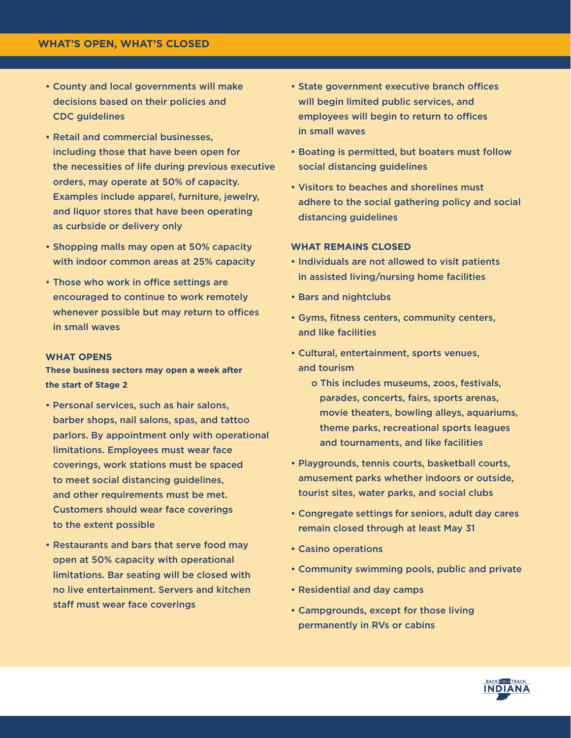- County and local governments will make decisions based on their policies and CDC guidelines
- Retail and commercial businesses, including those that have been open for the necessities of life during previous executive orders, may operate at 50% of capacity. Examples include apparel, furniture, jewelry, and liquor stores that have been operating as curbside or delivery only
- Shopping malls may open at 50% capacity with indoor common areas at 25% capacity
- Those who work in office settings are encouraged to continue to work remotely whenever possible but may return to offices in small waves

#### **WHAT OPENS**

**These business sectors may open a week after the start of Stage 2**

- Personal services, such as hair salons, barber shops, nail salons, spas, and tattoo parlors. By appointment only with operational limitations. Employees must wear face coverings, work stations must be spaced to meet social distancing guidelines, and other requirements must be met. Customers should wear face coverings to the extent possible
- Restaurants and bars that serve food may open at 50% capacity with operational limitations. Bar seating will be closed with no live entertainment. Servers and kitchen staff must wear face coverings
- State government executive branch offices will begin limited public services, and employees will begin to return to offices in small waves
- Boating is permitted, but boaters must follow social distancing guidelines
- Visitors to beaches and shorelines must adhere to the social gathering policy and social distancing quidelines

#### **WHAT REMAINS CLOSED**

- Individuals are not allowed to visit patients in assisted living/nursing home facilities
- Bars and nightclubs
- Gyms, fitness centers, community centers, and like facilities
- Cultural, entertainment, sports venues, and tourism
	- o This includes museums, zoos, festivals, parades, concerts, fairs, sports arenas, movie theaters, bowling alleys, aquariums, theme parks, recreational sports leagues and tournaments, and like facilities
- Playgrounds, tennis courts, basketball courts, amusement parks whether indoors or outside, tourist sites, water parks, and social clubs
- Congregate settings for seniors, adult day cares remain closed through at least May 31
- Casino operations
- Community swimming pools, public and private
- Residential and day camps
- Campgrounds, except for those living permanently in RVs or cabins

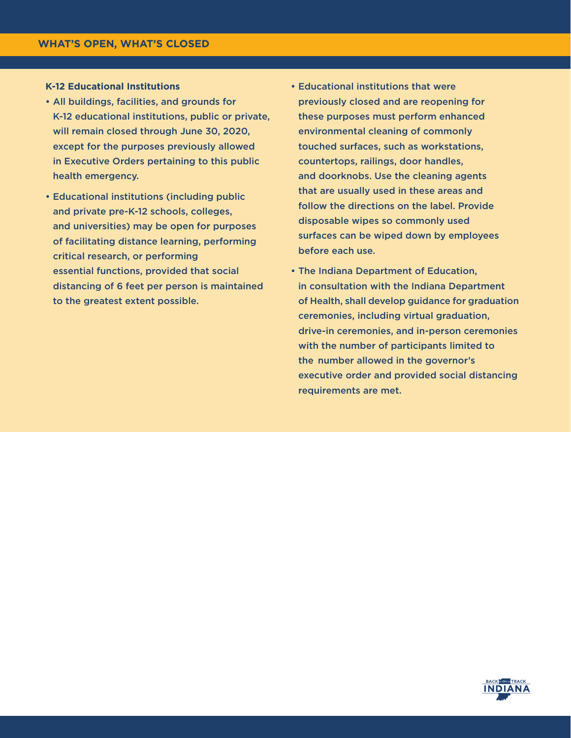#### **K-12 Educational Institutions**

- All buildings, facilities, and grounds for K-12 educational institutions, public or private, will remain closed through June 30, 2020, except for the purposes previously allowed in Executive Orders pertaining to this public health emergency.
- Educational institutions (including public and private pre-K-12 schools, colleges, and universities) may be open for purposes of facilitating distance learning, performing critical research, or performing essential functions, provided that social distancing of 6 feet per person is maintained to the greatest extent possible.
- Educational institutions that were previously closed and are reopening for these purposes must perform enhanced environmental cleaning of commonly touched surfaces, such as workstations, countertops, railings, door handles, and doorknobs. Use the cleaning agents that are usually used in these areas and follow the directions on the label. Provide disposable wipes so commonly used surfaces can be wiped down by employees before each use.
- The Indiana Department of Education, in consultation with the Indiana Department of Health, shall develop guidance for graduation ceremonies, including virtual graduation, drive-in ceremonies, and in-person ceremonies with the number of participants limited to the number allowed in the governor's executive order and provided social distancing requirements are met.

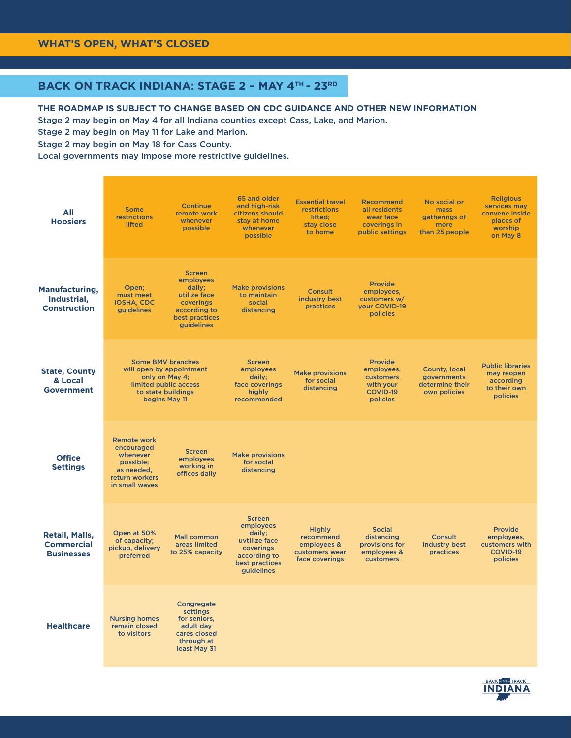# **BACK ON TRACK INDIANA: STAGE 2 – MAY 4TH - 23RD**

**THE ROADMAP IS SUBJECT TO CHANGE BASED ON CDC GUIDANCE AND OTHER NEW INFORMATION** Stage 2 may begin on May 4 for all Indiana counties except Cass, Lake, and Marion.

Stage 2 may begin on May 11 for Lake and Marion.

Stage 2 may begin on May 18 for Cass County.

Local governments may impose more restrictive guidelines.